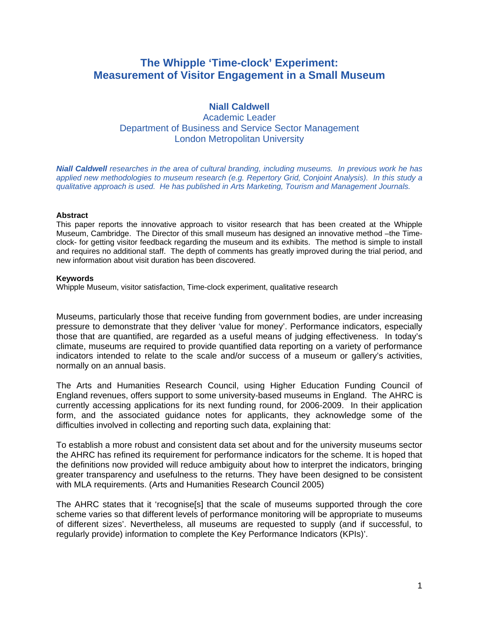# **The Whipple 'Time-clock' Experiment: Measurement of Visitor Engagement in a Small Museum**

## **Niall Caldwell**

Academic Leader Department of Business and Service Sector Management London Metropolitan University

*Niall Caldwell researches in the area of cultural branding, including museums. In previous work he has applied new methodologies to museum research (e.g. Repertory Grid, Conjoint Analysis). In this study a qualitative approach is used. He has published in Arts Marketing, Tourism and Management Journals.* 

#### **Abstract**

This paper reports the innovative approach to visitor research that has been created at the Whipple Museum, Cambridge. The Director of this small museum has designed an innovative method -the Timeclock- for getting visitor feedback regarding the museum and its exhibits. The method is simple to install and requires no additional staff. The depth of comments has greatly improved during the trial period, and new information about visit duration has been discovered.

#### **Keywords**

Whipple Museum, visitor satisfaction, Time-clock experiment, qualitative research

Museums, particularly those that receive funding from government bodies, are under increasing pressure to demonstrate that they deliver 'value for money'. Performance indicators, especially those that are quantified, are regarded as a useful means of judging effectiveness. In today's climate, museums are required to provide quantified data reporting on a variety of performance indicators intended to relate to the scale and/or success of a museum or gallery's activities, normally on an annual basis.

The Arts and Humanities Research Council, using Higher Education Funding Council of England revenues, offers support to some university-based museums in England. The AHRC is currently accessing applications for its next funding round, for 2006-2009. In their application form, and the associated guidance notes for applicants, they acknowledge some of the difficulties involved in collecting and reporting such data, explaining that:

To establish a more robust and consistent data set about and for the university museums sector the AHRC has refined its requirement for performance indicators for the scheme. It is hoped that the definitions now provided will reduce ambiguity about how to interpret the indicators, bringing greater transparency and usefulness to the returns. They have been designed to be consistent with MLA requirements. (Arts and Humanities Research Council 2005)

The AHRC states that it 'recognise[s] that the scale of museums supported through the core scheme varies so that different levels of performance monitoring will be appropriate to museums of different sizes'. Nevertheless, all museums are requested to supply (and if successful, to regularly provide) information to complete the Key Performance Indicators (KPIs)'.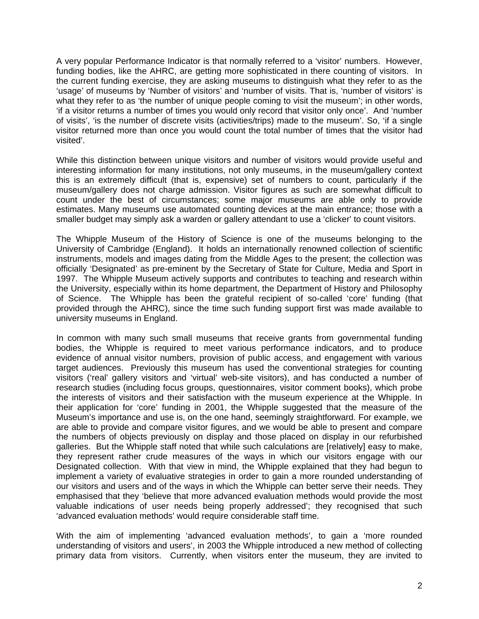A very popular Performance Indicator is that normally referred to a 'visitor' numbers. However, funding bodies, like the AHRC, are getting more sophisticated in there counting of visitors. In the current funding exercise, they are asking museums to distinguish what they refer to as the 'usage' of museums by 'Number of visitors' and 'number of visits. That is, 'number of visitors' is what they refer to as 'the number of unique people coming to visit the museum'; in other words, 'if a visitor returns a number of times you would only record that visitor only once'. And 'number of visits', 'is the number of discrete visits (activities/trips) made to the museum'. So, 'if a single visitor returned more than once you would count the total number of times that the visitor had visited'.

While this distinction between unique visitors and number of visitors would provide useful and interesting information for many institutions, not only museums, in the museum/gallery context this is an extremely difficult (that is, expensive) set of numbers to count, particularly if the museum/gallery does not charge admission. Visitor figures as such are somewhat difficult to count under the best of circumstances; some major museums are able only to provide estimates. Many museums use automated counting devices at the main entrance; those with a smaller budget may simply ask a warden or gallery attendant to use a 'clicker' to count visitors.

The Whipple Museum of the History of Science is one of the museums belonging to the University of Cambridge (England). It holds an internationally renowned collection of scientific instruments, models and images dating from the Middle Ages to the present; the collection was officially 'Designated' as pre-eminent by the Secretary of State for Culture, Media and Sport in 1997. The Whipple Museum actively supports and contributes to teaching and research within the University, especially within its home department, the Department of History and Philosophy of Science. The Whipple has been the grateful recipient of so-called 'core' funding (that provided through the AHRC), since the time such funding support first was made available to university museums in England.

In common with many such small museums that receive grants from governmental funding bodies, the Whipple is required to meet various performance indicators, and to produce evidence of annual visitor numbers, provision of public access, and engagement with various target audiences. Previously this museum has used the conventional strategies for counting visitors ('real' gallery visitors and 'virtual' web-site visitors), and has conducted a number of research studies (including focus groups, questionnaires, visitor comment books), which probe the interests of visitors and their satisfaction with the museum experience at the Whipple. In their application for 'core' funding in 2001, the Whipple suggested that the measure of the Museum's importance and use is, on the one hand, seemingly straightforward. For example, we are able to provide and compare visitor figures, and we would be able to present and compare the numbers of objects previously on display and those placed on display in our refurbished galleries. But the Whipple staff noted that while such calculations are [relatively] easy to make, they represent rather crude measures of the ways in which our visitors engage with our Designated collection. With that view in mind, the Whipple explained that they had begun to implement a variety of evaluative strategies in order to gain a more rounded understanding of our visitors and users and of the ways in which the Whipple can better serve their needs. They emphasised that they 'believe that more advanced evaluation methods would provide the most valuable indications of user needs being properly addressed'; they recognised that such 'advanced evaluation methods' would require considerable staff time.

With the aim of implementing 'advanced evaluation methods', to gain a 'more rounded understanding of visitors and users', in 2003 the Whipple introduced a new method of collecting primary data from visitors. Currently, when visitors enter the museum, they are invited to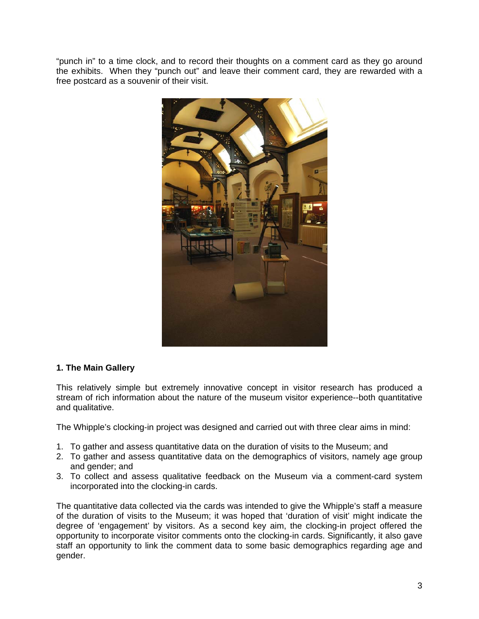"punch in" to a time clock, and to record their thoughts on a comment card as they go around the exhibits. When they "punch out" and leave their comment card, they are rewarded with a free postcard as a souvenir of their visit.



## **1. The Main Gallery**

This relatively simple but extremely innovative concept in visitor research has produced a stream of rich information about the nature of the museum visitor experience--both quantitative and qualitative.

The Whipple's clocking-in project was designed and carried out with three clear aims in mind:

- 1. To gather and assess quantitative data on the duration of visits to the Museum; and
- 2. To gather and assess quantitative data on the demographics of visitors, namely age group and gender; and
- 3. To collect and assess qualitative feedback on the Museum via a comment-card system incorporated into the clocking-in cards.

The quantitative data collected via the cards was intended to give the Whipple's staff a measure of the duration of visits to the Museum; it was hoped that 'duration of visit' might indicate the degree of 'engagement' by visitors. As a second key aim, the clocking-in project offered the opportunity to incorporate visitor comments onto the clocking-in cards. Significantly, it also gave staff an opportunity to link the comment data to some basic demographics regarding age and gender.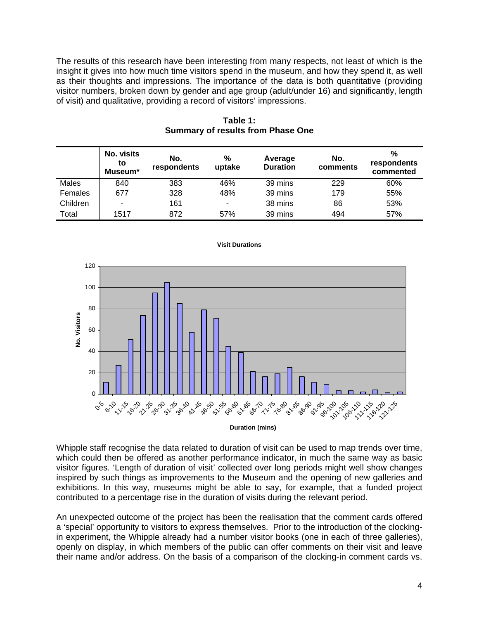The results of this research have been interesting from many respects, not least of which is the insight it gives into how much time visitors spend in the museum, and how they spend it, as well as their thoughts and impressions. The importance of the data is both quantitative (providing visitor numbers, broken down by gender and age group (adult/under 16) and significantly, length of visit) and qualitative, providing a record of visitors' impressions.

|          | No. visits<br>to<br>Museum* | No.<br>respondents | $\%$<br>uptake           | Average<br><b>Duration</b> | No.<br>comments | $\frac{0}{0}$<br>respondents<br>commented |
|----------|-----------------------------|--------------------|--------------------------|----------------------------|-----------------|-------------------------------------------|
| Males    | 840                         | 383                | 46%                      | 39 mins                    | 229             | 60%                                       |
| Females  | 677                         | 328                | 48%                      | 39 mins                    | 179             | 55%                                       |
| Children | $\overline{\phantom{0}}$    | 161                | $\overline{\phantom{0}}$ | 38 mins                    | 86              | 53%                                       |
| Total    | 1517                        | 872                | 57%                      | 39 mins                    | 494             | 57%                                       |

**Table 1: Summary of results from Phase One** 



**Visit Durations** 

**Duration (mins)**

Whipple staff recognise the data related to duration of visit can be used to map trends over time, which could then be offered as another performance indicator, in much the same way as basic visitor figures. 'Length of duration of visit' collected over long periods might well show changes inspired by such things as improvements to the Museum and the opening of new galleries and exhibitions. In this way, museums might be able to say, for example, that a funded project contributed to a percentage rise in the duration of visits during the relevant period.

An unexpected outcome of the project has been the realisation that the comment cards offered a 'special' opportunity to visitors to express themselves. Prior to the introduction of the clockingin experiment, the Whipple already had a number visitor books (one in each of three galleries), openly on display, in which members of the public can offer comments on their visit and leave their name and/or address. On the basis of a comparison of the clocking-in comment cards vs.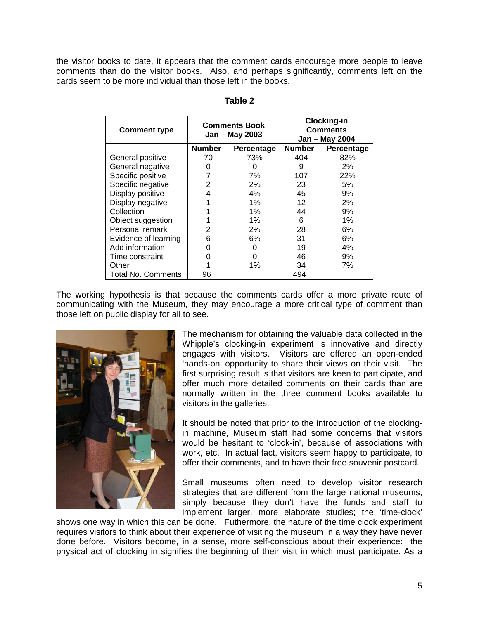the visitor books to date, it appears that the comment cards encourage more people to leave comments than do the visitor books. Also, and perhaps significantly, comments left on the cards seem to be more individual than those left in the books.

| <b>Comment type</b>       |               | <b>Comments Book</b><br>Jan - May 2003 | <b>Clocking-in</b><br><b>Comments</b><br>Jan - May 2004 |            |
|---------------------------|---------------|----------------------------------------|---------------------------------------------------------|------------|
|                           | <b>Number</b> | Percentage                             | <b>Number</b>                                           | Percentage |
| General positive          | 70            | 73%                                    | 404                                                     | 82%        |
| General negative          |               |                                        | 9                                                       | 2%         |
| Specific positive         |               | 7%                                     | 107                                                     | 22%        |
| Specific negative         | 2             | 2%                                     | 23                                                      | 5%         |
| Display positive          | 4             | 4%                                     | 45                                                      | 9%         |
| Display negative          |               | 1%                                     | 12                                                      | 2%         |
| Collection                |               | 1%                                     | 44                                                      | 9%         |
| Object suggestion         |               | 1%                                     | 6                                                       | 1%         |
| Personal remark           | 2             | 2%                                     | 28                                                      | 6%         |
| Evidence of learning      | 6             | 6%                                     | 31                                                      | 6%         |
| Add information           | 0             |                                        | 19                                                      | 4%         |
| Time constraint           | O             |                                        | 46                                                      | 9%         |
| Other                     |               | 1%                                     | 34                                                      | 7%         |
| <b>Total No. Comments</b> | 96            |                                        | 494                                                     |            |

| dble |  |
|------|--|
|      |  |

The working hypothesis is that because the comments cards offer a more private route of communicating with the Museum, they may encourage a more critical type of comment than those left on public display for all to see.



The mechanism for obtaining the valuable data collected in the Whipple's clocking-in experiment is innovative and directly engages with visitors. Visitors are offered an open-ended 'hands-on' opportunity to share their views on their visit. The first surprising result is that visitors are keen to participate, and offer much more detailed comments on their cards than are normally written in the three comment books available to visitors in the galleries.

It should be noted that prior to the introduction of the clockingin machine, Museum staff had some concerns that visitors would be hesitant to 'clock-in', because of associations with work, etc. In actual fact, visitors seem happy to participate, to offer their comments, and to have their free souvenir postcard.

Small museums often need to develop visitor research strategies that are different from the large national museums, simply because they don't have the funds and staff to implement larger, more elaborate studies; the 'time-clock'

shows one way in which this can be done. Futhermore, the nature of the time clock experiment requires visitors to think about their experience of visiting the museum in a way they have never done before. Visitors become, in a sense, more self-conscious about their experience: the physical act of clocking in signifies the beginning of their visit in which must participate. As a